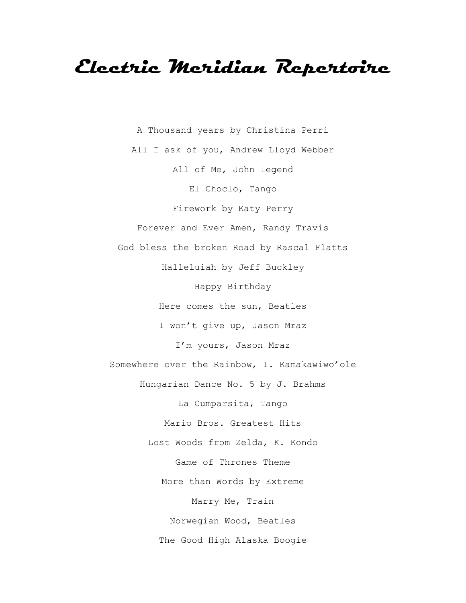## **Electric Meridian Repertoire**

A Thousand years by Christina Perri All I ask of you, Andrew Lloyd Webber All of Me, John Legend El Choclo, Tango Firework by Katy Perry Forever and Ever Amen, Randy Travis God bless the broken Road by Rascal Flatts Halleluiah by Jeff Buckley Happy Birthday Here comes the sun, Beatles I won't give up, Jason Mraz I'm yours, Jason Mraz Somewhere over the Rainbow, I. Kamakawiwo'ole Hungarian Dance No. 5 by J. Brahms La Cumparsita, Tango Mario Bros. Greatest Hits Lost Woods from Zelda, K. Kondo Game of Thrones Theme More than Words by Extreme Marry Me, Train Norwegian Wood, Beatles The Good High Alaska Boogie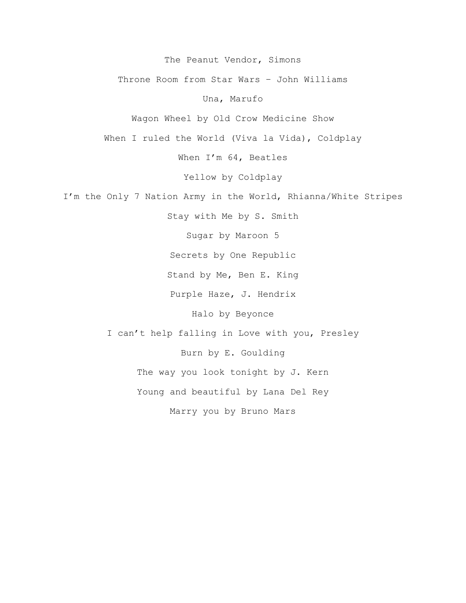The Peanut Vendor, Simons

Throne Room from Star Wars – John Williams

Una, Marufo

Wagon Wheel by Old Crow Medicine Show

When I ruled the World (Viva la Vida), Coldplay

When I'm 64, Beatles

Yellow by Coldplay

I'm the Only 7 Nation Army in the World, Rhianna/White Stripes

Stay with Me by S. Smith

Sugar by Maroon 5

Secrets by One Republic

Stand by Me, Ben E. King

Purple Haze, J. Hendrix

Halo by Beyonce

I can't help falling in Love with you, Presley Burn by E. Goulding The way you look tonight by J. Kern Young and beautiful by Lana Del Rey

Marry you by Bruno Mars